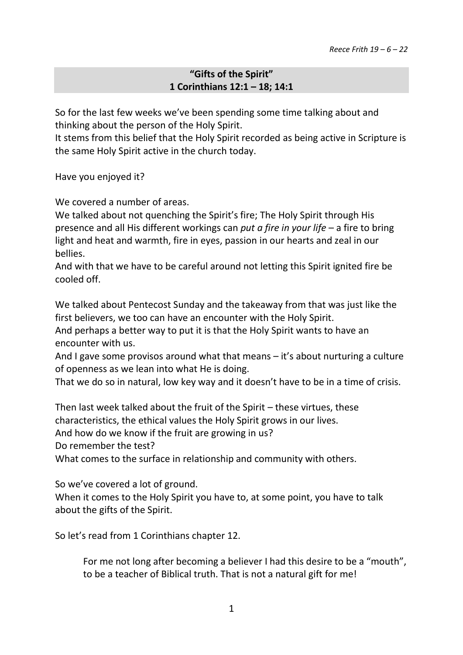## **"Gifts of the Spirit" 1 Corinthians 12:1 – 18; 14:1**

So for the last few weeks we've been spending some time talking about and thinking about the person of the Holy Spirit.

It stems from this belief that the Holy Spirit recorded as being active in Scripture is the same Holy Spirit active in the church today.

Have you enjoyed it?

We covered a number of areas.

We talked about not quenching the Spirit's fire; The Holy Spirit through His presence and all His different workings can *put a fire in your life* – a fire to bring light and heat and warmth, fire in eyes, passion in our hearts and zeal in our bellies.

And with that we have to be careful around not letting this Spirit ignited fire be cooled off.

We talked about Pentecost Sunday and the takeaway from that was just like the first believers, we too can have an encounter with the Holy Spirit.

And perhaps a better way to put it is that the Holy Spirit wants to have an encounter with us.

And I gave some provisos around what that means – it's about nurturing a culture of openness as we lean into what He is doing.

That we do so in natural, low key way and it doesn't have to be in a time of crisis.

Then last week talked about the fruit of the Spirit – these virtues, these characteristics, the ethical values the Holy Spirit grows in our lives.

And how do we know if the fruit are growing in us?

Do remember the test?

What comes to the surface in relationship and community with others.

So we've covered a lot of ground.

When it comes to the Holy Spirit you have to, at some point, you have to talk about the gifts of the Spirit.

So let's read from 1 Corinthians chapter 12.

For me not long after becoming a believer I had this desire to be a "mouth", to be a teacher of Biblical truth. That is not a natural gift for me!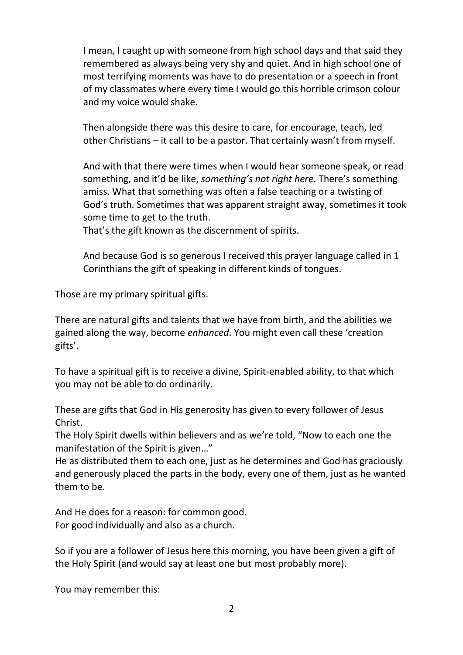I mean, I caught up with someone from high school days and that said they remembered as always being very shy and quiet. And in high school one of most terrifying moments was have to do presentation or a speech in front of my classmates where every time I would go this horrible crimson colour and my voice would shake.

Then alongside there was this desire to care, for encourage, teach, led other Christians – it call to be a pastor. That certainly wasn't from myself.

And with that there were times when I would hear someone speak, or read something, and it'd be like, *something's not right here*. There's something amiss. What that something was often a false teaching or a twisting of God's truth. Sometimes that was apparent straight away, sometimes it took some time to get to the truth.

That's the gift known as the discernment of spirits.

And because God is so generous I received this prayer language called in 1 Corinthians the gift of speaking in different kinds of tongues.

Those are my primary spiritual gifts.

There are natural gifts and talents that we have from birth, and the abilities we gained along the way, become *enhanced*. You might even call these 'creation gifts'.

To have a spiritual gift is to receive a divine, Spirit-enabled ability, to that which you may not be able to do ordinarily.

These are gifts that God in His generosity has given to every follower of Jesus Christ.

The Holy Spirit dwells within believers and as we're told, "Now to each one the manifestation of the Spirit is given…"

He as distributed them to each one, just as he determines and God has graciously and generously placed the parts in the body, every one of them, just as he wanted them to be.

And He does for a reason: for common good. For good individually and also as a church.

So if you are a follower of Jesus here this morning, you have been given a gift of the Holy Spirit (and would say at least one but most probably more).

You may remember this: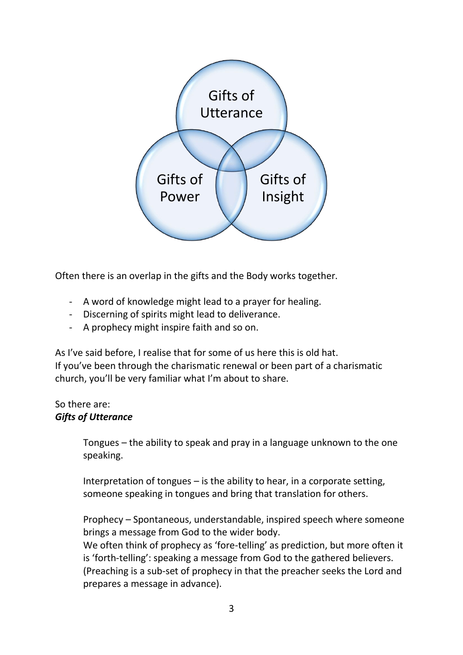

Often there is an overlap in the gifts and the Body works together.

- A word of knowledge might lead to a prayer for healing.
- Discerning of spirits might lead to deliverance.
- A prophecy might inspire faith and so on.

As I've said before, I realise that for some of us here this is old hat. If you've been through the charismatic renewal or been part of a charismatic church, you'll be very familiar what I'm about to share.

### So there are: *Gifts of Utterance*

Tongues – the ability to speak and pray in a language unknown to the one speaking.

Interpretation of tongues – is the ability to hear, in a corporate setting, someone speaking in tongues and bring that translation for others.

Prophecy – Spontaneous, understandable, inspired speech where someone brings a message from God to the wider body.

We often think of prophecy as 'fore-telling' as prediction, but more often it is 'forth-telling': speaking a message from God to the gathered believers. (Preaching is a sub-set of prophecy in that the preacher seeks the Lord and prepares a message in advance).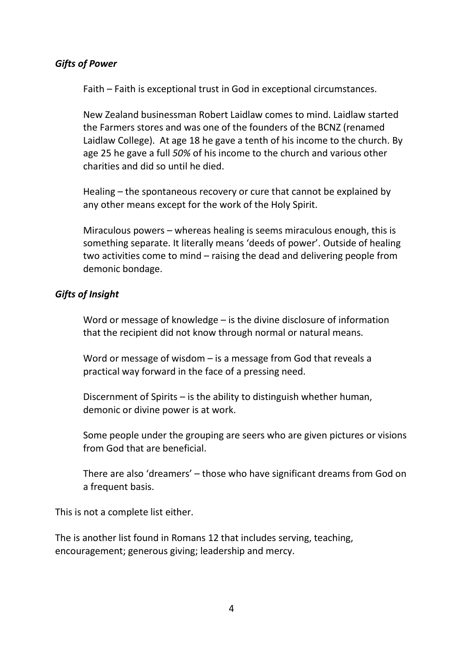#### *Gifts of Power*

Faith – Faith is exceptional trust in God in exceptional circumstances.

New Zealand businessman Robert Laidlaw comes to mind. Laidlaw started the Farmers stores and was one of the founders of the BCNZ (renamed Laidlaw College). At age 18 he gave a tenth of his income to the church. By age 25 he gave a full *50%* of his income to the church and various other charities and did so until he died.

Healing – the spontaneous recovery or cure that cannot be explained by any other means except for the work of the Holy Spirit.

Miraculous powers – whereas healing is seems miraculous enough, this is something separate. It literally means 'deeds of power'. Outside of healing two activities come to mind – raising the dead and delivering people from demonic bondage.

### *Gifts of Insight*

Word or message of knowledge – is the divine disclosure of information that the recipient did not know through normal or natural means.

Word or message of wisdom – is a message from God that reveals a practical way forward in the face of a pressing need.

Discernment of Spirits – is the ability to distinguish whether human, demonic or divine power is at work.

Some people under the grouping are seers who are given pictures or visions from God that are beneficial.

There are also 'dreamers' – those who have significant dreams from God on a frequent basis.

This is not a complete list either.

The is another list found in Romans 12 that includes serving, teaching, encouragement; generous giving; leadership and mercy.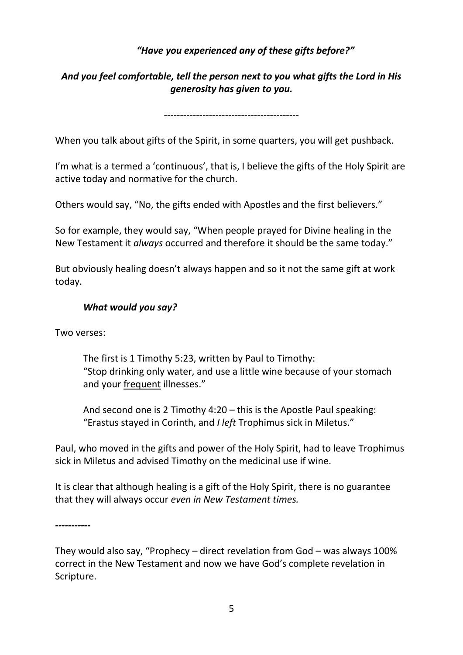## *"Have you experienced any of these gifts before?"*

# *And you feel comfortable, tell the person next to you what gifts the Lord in His generosity has given to you.*

*------------------------------------------*

When you talk about gifts of the Spirit, in some quarters, you will get pushback.

I'm what is a termed a 'continuous', that is, I believe the gifts of the Holy Spirit are active today and normative for the church.

Others would say, "No, the gifts ended with Apostles and the first believers."

So for example, they would say, "When people prayed for Divine healing in the New Testament it *always* occurred and therefore it should be the same today."

But obviously healing doesn't always happen and so it not the same gift at work today.

#### *What would you say?*

Two verses:

The first is 1 Timothy 5:23, written by Paul to Timothy: "Stop drinking only water, and use a little wine because of your stomach and your frequent illnesses."

And second one is 2 Timothy 4:20 – this is the Apostle Paul speaking: "Erastus stayed in Corinth, and *I left* Trophimus sick in Miletus."

Paul, who moved in the gifts and power of the Holy Spirit, had to leave Trophimus sick in Miletus and advised Timothy on the medicinal use if wine.

It is clear that although healing is a gift of the Holy Spirit, there is no guarantee that they will always occur *even in New Testament times.*

*-----------*

They would also say, "Prophecy – direct revelation from God – was always 100% correct in the New Testament and now we have God's complete revelation in Scripture.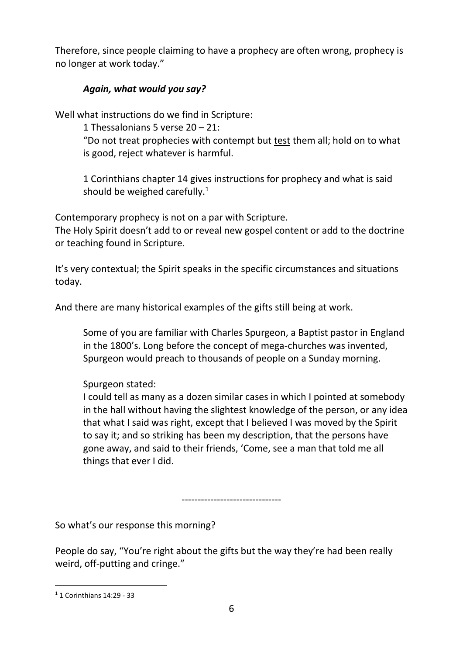Therefore, since people claiming to have a prophecy are often wrong, prophecy is no longer at work today."

# *Again, what would you say?*

Well what instructions do we find in Scripture:

1 Thessalonians 5 verse 20 – 21:

"Do not treat prophecies with contempt but test them all; hold on to what is good, reject whatever is harmful.

1 Corinthians chapter 14 gives instructions for prophecy and what is said should be weighed carefully.<sup>1</sup>

Contemporary prophecy is not on a par with Scripture.

The Holy Spirit doesn't add to or reveal new gospel content or add to the doctrine or teaching found in Scripture.

It's very contextual; the Spirit speaks in the specific circumstances and situations today.

And there are many historical examples of the gifts still being at work.

Some of you are familiar with Charles Spurgeon, a Baptist pastor in England in the 1800's. Long before the concept of mega-churches was invented, Spurgeon would preach to thousands of people on a Sunday morning.

# Spurgeon stated:

I could tell as many as a dozen similar cases in which I pointed at somebody in the hall without having the slightest knowledge of the person, or any idea that what I said was right, except that I believed I was moved by the Spirit to say it; and so striking has been my description, that the persons have gone away, and said to their friends, 'Come, see a man that told me all things that ever I did.

-------------------------------

So what's our response this morning?

People do say, "You're right about the gifts but the way they're had been really weird, off-putting and cringe."

 $\ddot{\phantom{a}}$ 

<sup>1</sup> 1 Corinthians 14:29 - 33